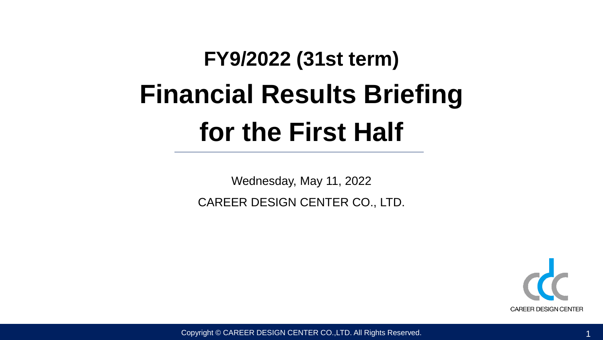# **FY9/2022 (31st term) Financial Results Briefing for the First Half**

Wednesday, May 11, 2022

CAREER DESIGN CENTER CO., LTD.

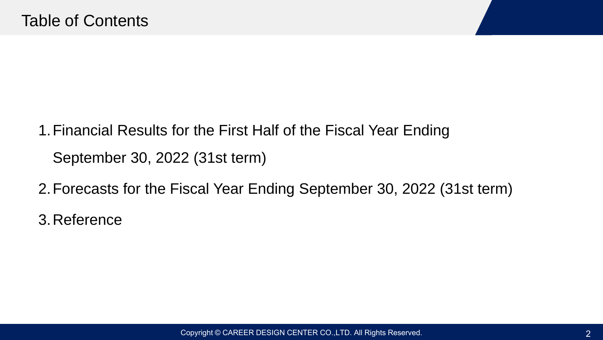- 1.Financial Results for the First Half of the Fiscal Year Ending September 30, 2022 (31st term)
- 2.Forecasts for the Fiscal Year Ending September 30, 2022 (31st term)
- 3.Reference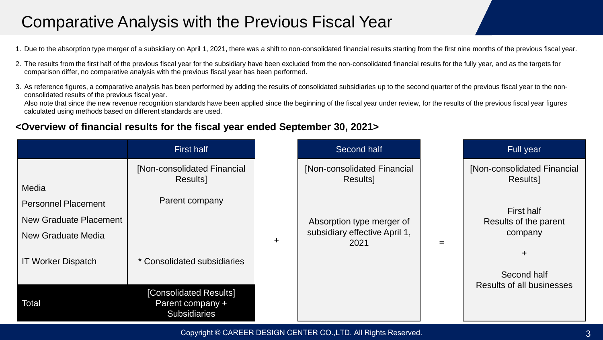#### Comparative Analysis with the Previous Fiscal Year

- 1. Due to the absorption type merger of a subsidiary on April 1, 2021, there was a shift to non-consolidated financial results starting from the first nine months of the previous fiscal year.
- 2. The results from the first half of the previous fiscal year for the subsidiary have been excluded from the non-consolidated financial results for the fully year, and as the targets for comparison differ, no comparative analysis with the previous fiscal year has been performed.
- 3. As reference figures, a comparative analysis has been performed by adding the results of consolidated subsidiaries up to the second quarter of the previous fiscal year to the nonconsolidated results of the previous fiscal year. Also note that since the new revenue recognition standards have been applied since the beginning of the fiscal year under review, for the results of the previous fiscal year figures

calculated using methods based on different standards are used.

#### **<Overview of financial results for the fiscal year ended September 30, 2021>**

|                                                                                   | First half                                                        |    | Second half                                                | Full year                                      |
|-----------------------------------------------------------------------------------|-------------------------------------------------------------------|----|------------------------------------------------------------|------------------------------------------------|
| Media                                                                             | [Non-consolidated Financial<br>Results                            |    | [Non-consolidated Financial<br>Results]                    | [Non-consolidated Financial<br>Results]        |
| <b>Personnel Placement</b><br><b>New Graduate Placement</b><br>New Graduate Media | Parent company                                                    |    | Absorption type merger of<br>subsidiary effective April 1, | First half<br>Results of the parent<br>company |
| <b>IT Worker Dispatch</b>                                                         | * Consolidated subsidiaries                                       | ÷. | 2021                                                       | $\ddot{}$<br>Second half                       |
| <b>Total</b>                                                                      | [Consolidated Results]<br>Parent company +<br><b>Subsidiaries</b> |    |                                                            | <b>Results of all businesses</b>               |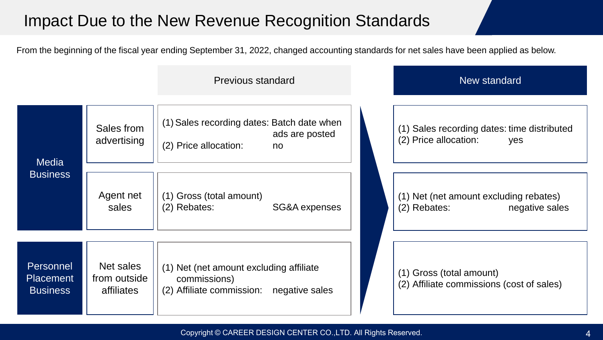#### Impact Due to the New Revenue Recognition Standards

From the beginning of the fiscal year ending September 31, 2022, changed accounting standards for net sales have been applied as below.

|                                                  |                                         | <b>Previous standard</b>                                                                                |  | New standard                                                                |
|--------------------------------------------------|-----------------------------------------|---------------------------------------------------------------------------------------------------------|--|-----------------------------------------------------------------------------|
| <b>Media</b>                                     | Sales from<br>advertising               | (1) Sales recording dates: Batch date when<br>ads are posted<br>(2) Price allocation:<br>no             |  | (1) Sales recording dates: time distributed<br>(2) Price allocation:<br>yes |
| <b>Business</b>                                  | Agent net<br>sales                      | (1) Gross (total amount)<br>(2) Rebates:<br><b>SG&amp;A</b> expenses                                    |  | (1) Net (net amount excluding rebates)<br>(2) Rebates:<br>negative sales    |
| Personnel<br><b>Placement</b><br><b>Business</b> | Net sales<br>from outside<br>affiliates | (1) Net (net amount excluding affiliate)<br>commissions)<br>(2) Affiliate commission:<br>negative sales |  | (1) Gross (total amount)<br>(2) Affiliate commissions (cost of sales)       |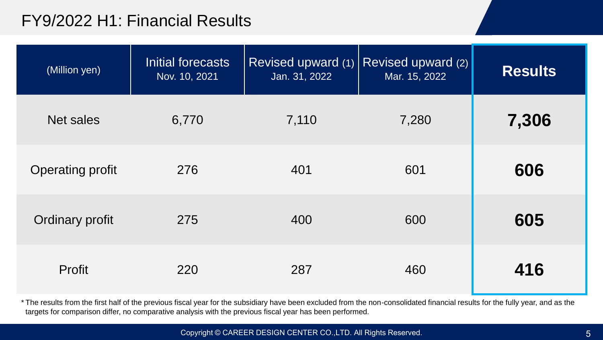#### FY9/2022 H1: Financial Results

| (Million yen)           | Initial forecasts<br>Nov. 10, 2021 | Revised upward (1)<br>Jan. 31, 2022 | Revised upward (2)<br>Mar. 15, 2022 | <b>Results</b> |
|-------------------------|------------------------------------|-------------------------------------|-------------------------------------|----------------|
| <b>Net sales</b>        | 6,770                              | 7,110                               | 7,280                               | 7,306          |
| <b>Operating profit</b> | 276                                | 401                                 | 601                                 | 606            |
| <b>Ordinary profit</b>  | 275                                | 400                                 | 600                                 | 605            |
| Profit                  | 220                                | 287                                 | 460                                 | 416            |

\* The results from the first half of the previous fiscal year for the subsidiary have been excluded from the non-consolidated financial results for the fully year, and as the targets for comparison differ, no comparative analysis with the previous fiscal year has been performed.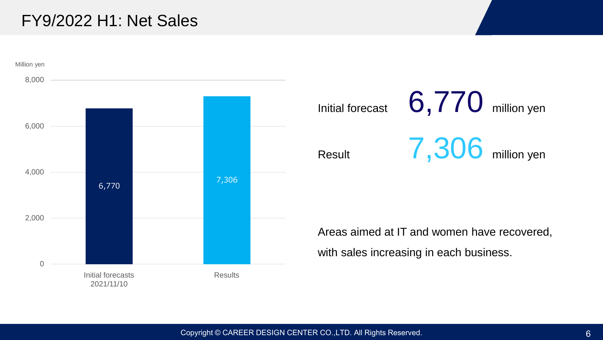#### FY9/2022 H1: Net Sales

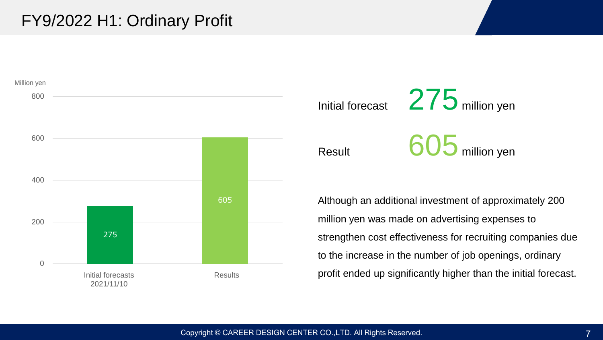#### FY9/2022 H1: Ordinary Profit



Initial forecast 275 million yen

Result 605 million yen

Although an additional investment of approximately 200 million yen was made on advertising expenses to strengthen cost effectiveness for recruiting companies due to the increase in the number of job openings, ordinary profit ended up significantly higher than the initial forecast.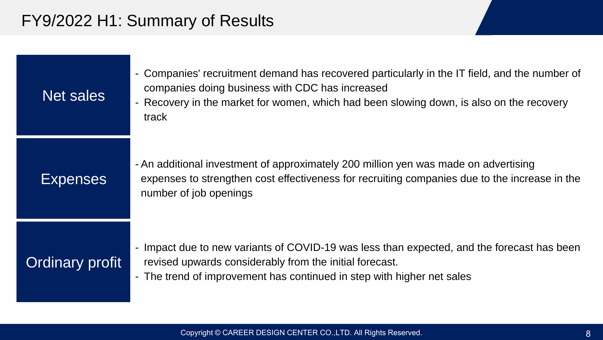#### FY9/2022 H1: Summary of Results

Net sales

- Companies' recruitment demand has recovered particularly in the IT field, and the number of companies doing business with CDC has increased
- Recovery in the market for women, which had been slowing down, is also on the recovery track

#### **Expenses**

- An additional investment of approximately 200 million yen was made on advertising expenses to strengthen cost effectiveness for recruiting companies due to the increase in the number of job openings

### Ordinary profit

- Impact due to new variants of COVID-19 was less than expected, and the forecast has been revised upwards considerably from the initial forecast.
- The trend of improvement has continued in step with higher net sales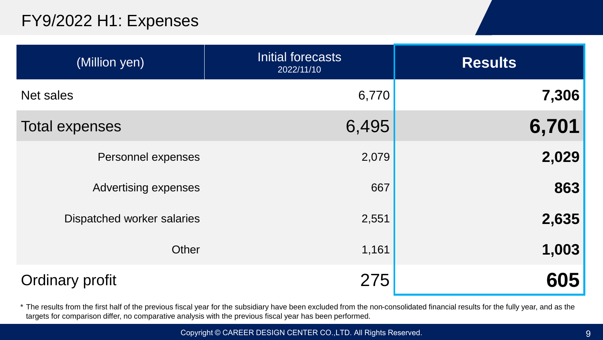#### FY9/2022 H1: Expenses

| (Million yen)               | Initial forecasts<br>2022/11/10 | <b>Results</b> |
|-----------------------------|---------------------------------|----------------|
| Net sales                   | 6,770                           | 7,306          |
| <b>Total expenses</b>       | 6,495                           | 6,701          |
| Personnel expenses          | 2,079                           | 2,029          |
| <b>Advertising expenses</b> | 667                             | 863            |
| Dispatched worker salaries  | 2,551                           | 2,635          |
| Other                       | 1,161                           | 1,003          |
| <b>Ordinary profit</b>      | 275                             | 605            |

\* The results from the first half of the previous fiscal year for the subsidiary have been excluded from the non-consolidated financial results for the fully year, and as the targets for comparison differ, no comparative analysis with the previous fiscal year has been performed.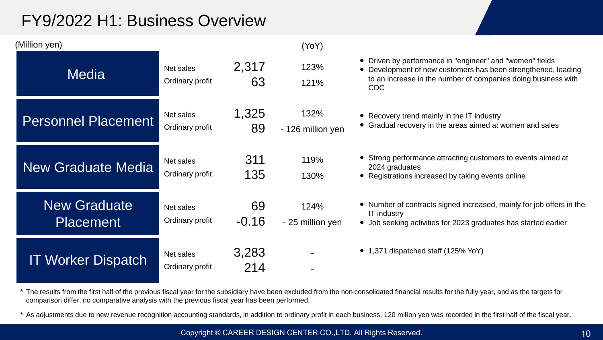#### FY9/2022 H1: Business Overview

| (Million yen)                           |                              |               | (YoY)                     |                                                                                                                                                                                                   |
|-----------------------------------------|------------------------------|---------------|---------------------------|---------------------------------------------------------------------------------------------------------------------------------------------------------------------------------------------------|
| Media                                   | Net sales<br>Ordinary profit | 2,317<br>63   | 123%<br>121%              | • Driven by performance in "engineer" and "women" fields<br>• Development of new customers has been strengthened, leading<br>to an increase in the number of companies doing business with<br>CDC |
| <b>Personnel Placement</b>              | Net sales<br>Ordinary profit | 1,325<br>89   | 132%<br>- 126 million yen | • Recovery trend mainly in the IT industry<br>• Gradual recovery in the areas aimed at women and sales                                                                                            |
| <b>New Graduate Media</b>               | Net sales<br>Ordinary profit | 311<br>135    | 119%<br>130%              | • Strong performance attracting customers to events aimed at<br>2024 graduates<br>• Registrations increased by taking events online                                                               |
| <b>New Graduate</b><br><b>Placement</b> | Net sales<br>Ordinary profit | 69<br>$-0.16$ | 124%<br>- 25 million yen  | • Number of contracts signed increased, mainly for job offers in the<br><b>IT industry</b><br>• Job seeking activities for 2023 graduates has started earlier                                     |
| <b>IT Worker Dispatch</b>               | Net sales<br>Ordinary profit | 3,283<br>214  |                           | • 1,371 dispatched staff $(125\%$ YoY)                                                                                                                                                            |

\* The results from the first half of the previous fiscal year for the subsidiary have been excluded from the non-consolidated financial results for the fully year, and as the targets for comparison differ, no comparative analysis with the previous fiscal year has been performed.

\* As adjustments due to new revenue recognition accounting standards, in addition to ordinary profit in each business, 120 million yen was recorded in the first half of the fiscal year.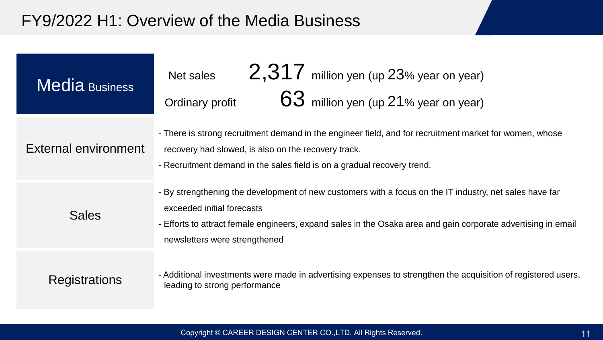#### FY9/2022 H1: Overview of the Media Business

| <b>Media Business</b> | $2,317$ million yen (up 23% year on year)<br>Net sales<br>$63$ million yen (up 21% year on year)<br>Ordinary profit                                                                                                                                                                     |
|-----------------------|-----------------------------------------------------------------------------------------------------------------------------------------------------------------------------------------------------------------------------------------------------------------------------------------|
| External environment  | - There is strong recruitment demand in the engineer field, and for recruitment market for women, whose<br>recovery had slowed, is also on the recovery track.<br>- Recruitment demand in the sales field is on a gradual recovery trend.                                               |
| <b>Sales</b>          | - By strengthening the development of new customers with a focus on the IT industry, net sales have far<br>exceeded initial forecasts<br>- Efforts to attract female engineers, expand sales in the Osaka area and gain corporate advertising in email<br>newsletters were strengthened |
| Registrations         | - Additional investments were made in advertising expenses to strengthen the acquisition of registered users,<br>leading to strong performance                                                                                                                                          |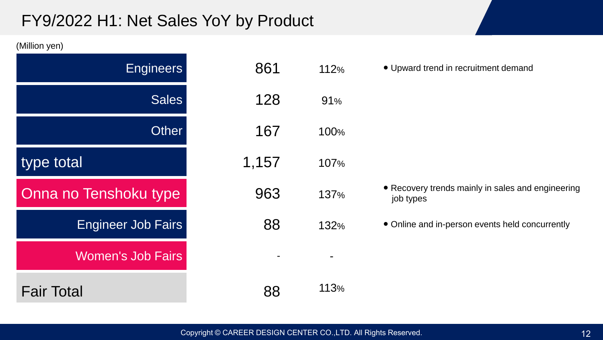### FY9/2022 H1: Net Sales YoY by Product

(Million yen)

| <b>Engineers</b>          | 861   | 112% | • Upward trend in recruitment demand                           |
|---------------------------|-------|------|----------------------------------------------------------------|
| <b>Sales</b>              | 128   | 91%  |                                                                |
| <b>Other</b>              | 167   | 100% |                                                                |
| type total                | 1,157 | 107% |                                                                |
| Onna no Tenshoku type     | 963   | 137% | • Recovery trends mainly in sales and engineering<br>job types |
| <b>Engineer Job Fairs</b> | 88    | 132% | • Online and in-person events held concurrently                |
| <b>Women's Job Fairs</b>  |       |      |                                                                |
| <b>Fair Total</b>         | 88    | 113% |                                                                |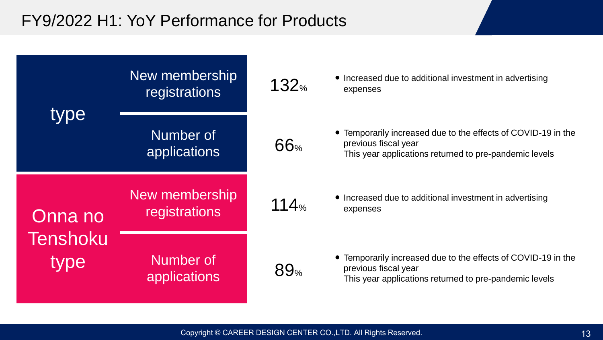#### FY9/2022 H1: YoY Performance for Products

|                         | New membership<br>registrations | 132%            | • Increased due to additional investment in advertising<br>expenses                                                                             |
|-------------------------|---------------------------------|-----------------|-------------------------------------------------------------------------------------------------------------------------------------------------|
| type                    | Number of<br>applications       | 66 <sub>%</sub> | • Temporarily increased due to the effects of COVID-19 in the<br>previous fiscal year<br>This year applications returned to pre-pandemic levels |
| Onna no                 | New membership<br>registrations | 114%            | • Increased due to additional investment in advertising<br>expenses                                                                             |
| <b>Tenshoku</b><br>type | Number of<br>applications       | 89%             | • Temporarily increased due to the effects of COVID-19 in the<br>previous fiscal year<br>This year applications returned to pre-pandemic levels |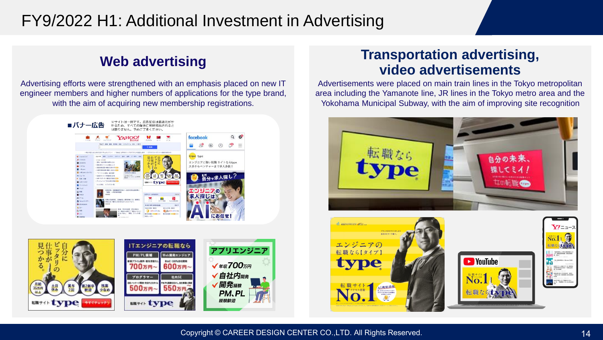#### FY9/2022 H1: Additional Investment in Advertising

Advertising efforts were strengthened with an emphasis placed on new IT engineer members and higher numbers of applications for the type brand, with the aim of acquiring new membership registrations.





#### **Transportation advertising,**  Web advertising<br>video advertisements

Advertisements were placed on main train lines in the Tokyo metropolitan area including the Yamanote line, JR lines in the Tokyo metro area and the Yokohama Municipal Subway, with the aim of improving site recognition



Copyright © CAREER DESIGN CENTER CO.,LTD. All Rights Reserved. 14 April 14 April 14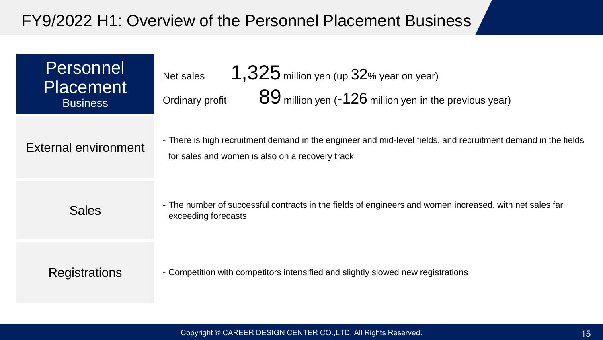#### FY9/2022 H1: Overview of the Personnel Placement Business

| Personnel<br><b>Placement</b><br><b>Business</b> | 1,325 million yen (up $32\%$ year on year)<br>Net sales<br>$89$ million yen ( $-126$ million yen in the previous year)<br>Ordinary profit                        |
|--------------------------------------------------|------------------------------------------------------------------------------------------------------------------------------------------------------------------|
| <b>External environment</b>                      | - There is high recruitment demand in the engineer and mid-level fields, and recruitment demand in the fields<br>for sales and women is also on a recovery track |
| <b>Sales</b>                                     | - The number of successful contracts in the fields of engineers and women increased, with net sales far<br>exceeding forecasts                                   |
| Registrations                                    | - Competition with competitors intensified and slightly slowed new registrations                                                                                 |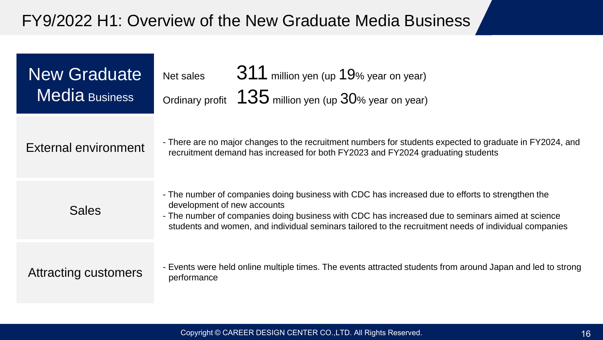#### FY9/2022 H1: Overview of the New Graduate Media Business

| <b>New Graduate</b><br><b>Media Business</b> | $311$ million yen (up $19%$ year on year)<br>Net sales<br>Ordinary profit $135$ million yen (up $30\%$ year on year)                                                                                                                                                                                                                         |
|----------------------------------------------|----------------------------------------------------------------------------------------------------------------------------------------------------------------------------------------------------------------------------------------------------------------------------------------------------------------------------------------------|
| External environment                         | - There are no major changes to the recruitment numbers for students expected to graduate in FY2024, and<br>recruitment demand has increased for both FY2023 and FY2024 graduating students                                                                                                                                                  |
| <b>Sales</b>                                 | - The number of companies doing business with CDC has increased due to efforts to strengthen the<br>development of new accounts<br>- The number of companies doing business with CDC has increased due to seminars aimed at science<br>students and women, and individual seminars tailored to the recruitment needs of individual companies |
| <b>Attracting customers</b>                  | - Events were held online multiple times. The events attracted students from around Japan and led to strong<br>performance                                                                                                                                                                                                                   |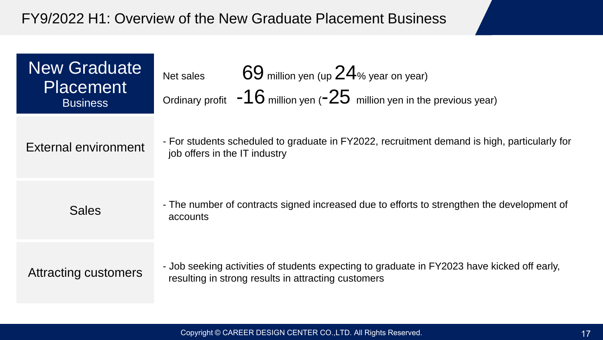#### FY9/2022 H1: Overview of the New Graduate Placement Business

| <b>New Graduate</b><br><b>Placement</b><br><b>Business</b> | $69$ million yen (up $24$ % year on year)<br>Net sales<br>Ordinary profit $-16$ million yen ( $-25$ million yen in the previous year)              |
|------------------------------------------------------------|----------------------------------------------------------------------------------------------------------------------------------------------------|
| External environment                                       | - For students scheduled to graduate in FY2022, recruitment demand is high, particularly for<br>job offers in the IT industry                      |
| <b>Sales</b>                                               | - The number of contracts signed increased due to efforts to strengthen the development of<br>accounts                                             |
| <b>Attracting customers</b>                                | - Job seeking activities of students expecting to graduate in FY2023 have kicked off early,<br>resulting in strong results in attracting customers |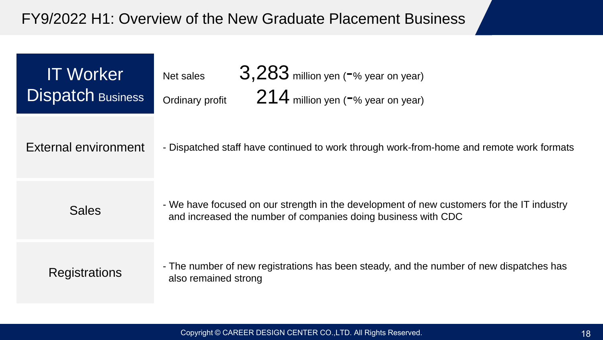#### FY9/2022 H1: Overview of the New Graduate Placement Business

| <b>IT Worker</b><br><b>Dispatch Business</b> | $3,283$ million yen ( $\sim$ % year on year)<br>Net sales<br>214 million yen (-% year on year)<br>Ordinary profit                                          |
|----------------------------------------------|------------------------------------------------------------------------------------------------------------------------------------------------------------|
| External environment                         | - Dispatched staff have continued to work through work-from-home and remote work formats                                                                   |
| <b>Sales</b>                                 | - We have focused on our strength in the development of new customers for the IT industry<br>and increased the number of companies doing business with CDC |
| <b>Registrations</b>                         | - The number of new registrations has been steady, and the number of new dispatches has<br>also remained strong                                            |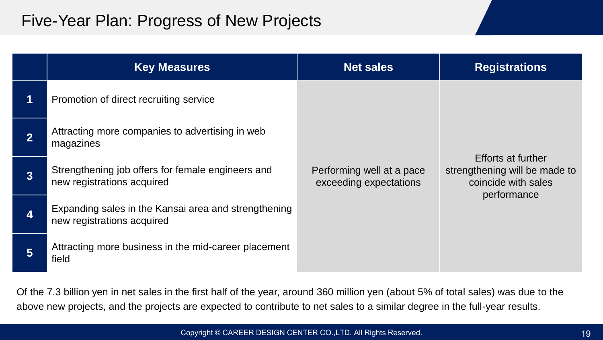#### Five-Year Plan: Progress of New Projects

|                | <b>Key Measures</b>                                                                | <b>Net sales</b>                                    | <b>Registrations</b>                                                              |
|----------------|------------------------------------------------------------------------------------|-----------------------------------------------------|-----------------------------------------------------------------------------------|
|                | Promotion of direct recruiting service                                             |                                                     |                                                                                   |
| $\overline{2}$ | Attracting more companies to advertising in web<br>magazines                       |                                                     |                                                                                   |
| $\overline{3}$ | Strengthening job offers for female engineers and<br>new registrations acquired    | Performing well at a pace<br>exceeding expectations | <b>Efforts at further</b><br>strengthening will be made to<br>coincide with sales |
| 4              | Expanding sales in the Kansai area and strengthening<br>new registrations acquired |                                                     | performance                                                                       |
| 5              | Attracting more business in the mid-career placement<br>field                      |                                                     |                                                                                   |

Of the 7.3 billion yen in net sales in the first half of the year, around 360 million yen (about 5% of total sales) was due to the above new projects, and the projects are expected to contribute to net sales to a similar degree in the full-year results.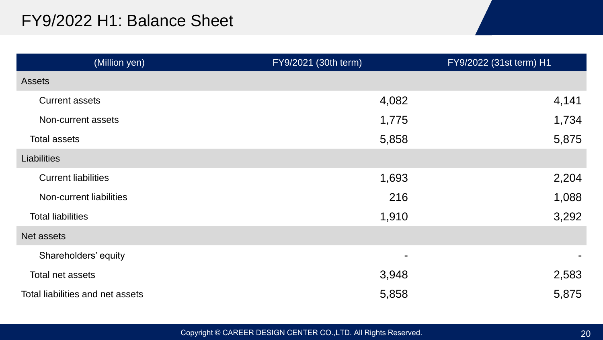#### FY9/2022 H1: Balance Sheet

| (Million yen)                    | FY9/2021 (30th term) | FY9/2022 (31st term) H1 |
|----------------------------------|----------------------|-------------------------|
| <b>Assets</b>                    |                      |                         |
| <b>Current assets</b>            | 4,082                | 4,141                   |
| Non-current assets               | 1,775                | 1,734                   |
| <b>Total assets</b>              | 5,858                | 5,875                   |
| Liabilities                      |                      |                         |
| <b>Current liabilities</b>       | 1,693                | 2,204                   |
| Non-current liabilities          | 216                  | 1,088                   |
| <b>Total liabilities</b>         | 1,910                | 3,292                   |
| <b>Net assets</b>                |                      |                         |
| Shareholders' equity             |                      |                         |
| Total net assets                 | 3,948                | 2,583                   |
| Total liabilities and net assets | 5,858                | 5,875                   |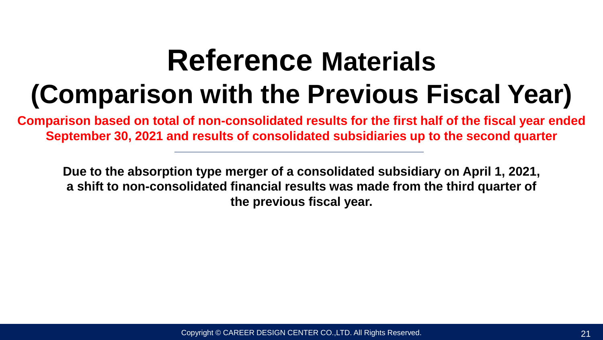## **Reference Materials (Comparison with the Previous Fiscal Year)**

**Comparison based on total of non-consolidated results for the first half of the fiscal year ended September 30, 2021 and results of consolidated subsidiaries up to the second quarter**

**Due to the absorption type merger of a consolidated subsidiary on April 1, 2021, a shift to non-consolidated financial results was made from the third quarter of the previous fiscal year.**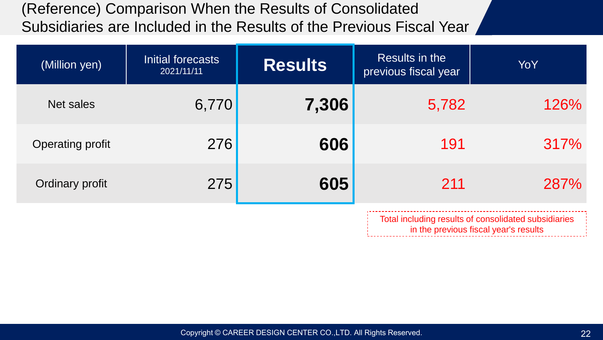(Reference) Comparison When the Results of Consolidated Subsidiaries are Included in the Results of the Previous Fiscal Year

| (Million yen)           | Initial forecasts<br>$\sqrt{2021/11/11}$ | <b>Results</b> | Results in the<br>previous fiscal year | <b>YoY</b>                                           |
|-------------------------|------------------------------------------|----------------|----------------------------------------|------------------------------------------------------|
| <b>Net sales</b>        | 6,770                                    | 7,306          | 5,782                                  | 126%                                                 |
| <b>Operating profit</b> | 276                                      | 606            | 191                                    | 317%                                                 |
| Ordinary profit         | 275                                      | 605            | 211                                    | 287%                                                 |
|                         |                                          |                |                                        | Total including results of consolidated subsidiaries |

in the previous fiscal year's results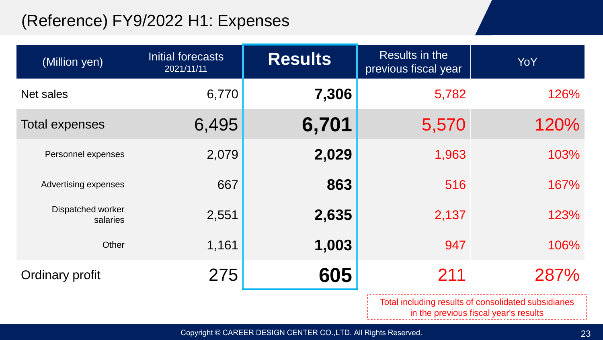#### (Reference) FY9/2022 H1: Expenses

| (Million yen)                 | Initial forecasts<br>2021/11/11 | <b>Results</b> | Results in the<br>previous fiscal year | <b>YoY</b>                                           |
|-------------------------------|---------------------------------|----------------|----------------------------------------|------------------------------------------------------|
| Net sales                     | 6,770                           | 7,306          | 5,782                                  | 126%                                                 |
| <b>Total expenses</b>         | 6,495                           | 6,701          | 5,570                                  | 120%                                                 |
| Personnel expenses            | 2,079                           | 2,029          | 1,963                                  | 103%                                                 |
| <b>Advertising expenses</b>   | 667                             | 863            | 516                                    | 167%                                                 |
| Dispatched worker<br>salaries | 2,551                           | 2,635          | 2,137                                  | 123%                                                 |
| Other                         | 1,161                           | 1,003          | 947                                    | 106%                                                 |
| <b>Ordinary profit</b>        | 275                             | 605            | 211                                    | 287%                                                 |
|                               |                                 |                |                                        | Total including results of consolidated subsidiaries |

in the previous fiscal year's results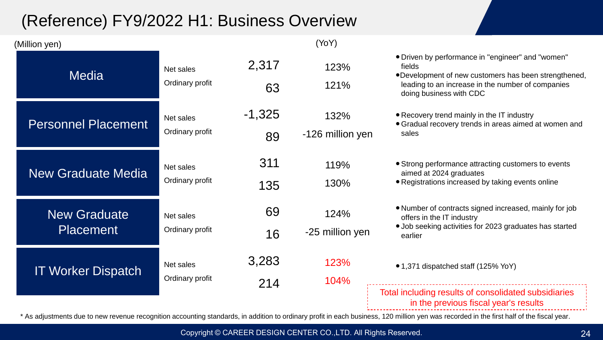## (Reference) FY9/2022 H1: Business Overview

| (Million yen)                           |                              |                | (YoY)                    |                                                                                                                                                                                                     |
|-----------------------------------------|------------------------------|----------------|--------------------------|-----------------------------------------------------------------------------------------------------------------------------------------------------------------------------------------------------|
| <b>Media</b>                            | Net sales<br>Ordinary profit | 2,317<br>63    | 123%<br>121%             | • Driven by performance in "engineer" and "women"<br>fields<br>•Development of new customers has been strengthened,<br>leading to an increase in the number of companies<br>doing business with CDC |
| <b>Personnel Placement</b>              | Net sales<br>Ordinary profit | $-1,325$<br>89 | 132%<br>-126 million yen | • Recovery trend mainly in the IT industry<br>• Gradual recovery trends in areas aimed at women and<br>sales                                                                                        |
| <b>New Graduate Media</b>               | Net sales<br>Ordinary profit | 311<br>135     | 119%<br>130%             | • Strong performance attracting customers to events<br>aimed at 2024 graduates<br>• Registrations increased by taking events online                                                                 |
| <b>New Graduate</b><br><b>Placement</b> | Net sales<br>Ordinary profit | 69<br>16       | 124%<br>-25 million yen  | . Number of contracts signed increased, mainly for job<br>offers in the IT industry<br>• Job seeking activities for 2023 graduates has started<br>earlier                                           |
| <b>IT Worker Dispatch</b>               | Net sales<br>Ordinary profit | 3,283<br>214   | 123%<br>104%             | • 1,371 dispatched staff (125% YoY)<br>Total including results of consolidated subsidiaries<br>in the previous fiscal year's results                                                                |

\* As adjustments due to new revenue recognition accounting standards, in addition to ordinary profit in each business, 120 million yen was recorded in the first half of the fiscal year.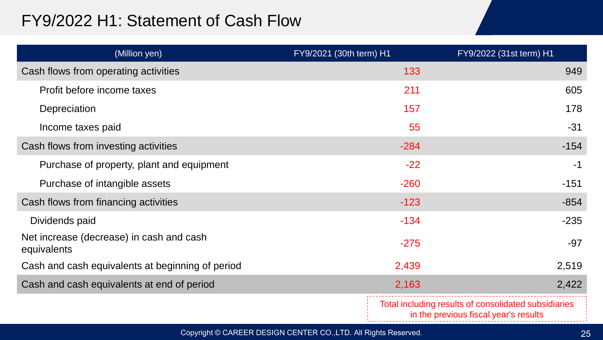#### FY9/2022 H1: Statement of Cash Flow

| (Million yen)                                           | FY9/2021 (30th term) H1 | FY9/2022 (31st term) H1                                                                       |
|---------------------------------------------------------|-------------------------|-----------------------------------------------------------------------------------------------|
| Cash flows from operating activities                    | 133                     | 949                                                                                           |
| Profit before income taxes                              | 211                     | 605                                                                                           |
| Depreciation                                            | 157                     | 178                                                                                           |
| Income taxes paid                                       | 55                      | $-31$                                                                                         |
| Cash flows from investing activities                    | $-284$                  | $-154$                                                                                        |
| Purchase of property, plant and equipment               | $-22$                   | $-1$                                                                                          |
| Purchase of intangible assets                           | $-260$                  | $-151$                                                                                        |
| Cash flows from financing activities                    | $-123$                  | $-854$                                                                                        |
| Dividends paid                                          | $-134$                  | $-235$                                                                                        |
| Net increase (decrease) in cash and cash<br>equivalents | $-275$                  | $-97$                                                                                         |
| Cash and cash equivalents at beginning of period        | 2,439                   | 2,519                                                                                         |
| Cash and cash equivalents at end of period              | 2,163                   | 2,422                                                                                         |
|                                                         |                         | Total including results of consolidated subsidiaries<br>in the previous fiscal year's results |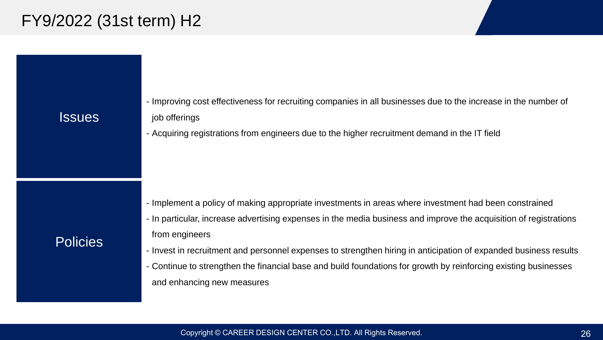#### FY9/2022 (31st term) H2

#### **Issues**

**Policies** 

- Improving cost effectiveness for recruiting companies in all businesses due to the increase in the number of job offerings
- Acquiring registrations from engineers due to the higher recruitment demand in the IT field

- Implement a policy of making appropriate investments in areas where investment had been constrained
- In particular, increase advertising expenses in the media business and improve the acquisition of registrations from engineers
- Invest in recruitment and personnel expenses to strengthen hiring in anticipation of expanded business results
- Continue to strengthen the financial base and build foundations for growth by reinforcing existing businesses and enhancing new measures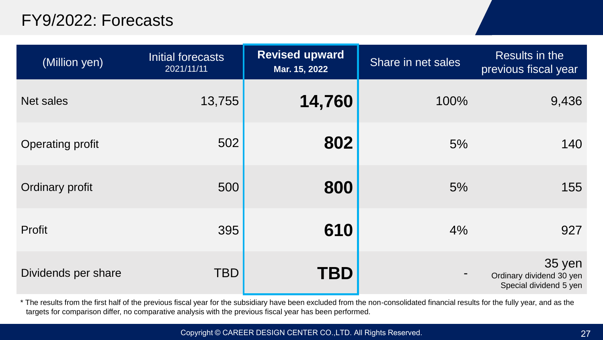#### FY9/2022: Forecasts

| (Million yen)           | Initial forecasts<br>2021/11/11 | <b>Revised upward</b><br>Mar. 15, 2022 | Share in net sales | Results in the<br>previous fiscal year                       |
|-------------------------|---------------------------------|----------------------------------------|--------------------|--------------------------------------------------------------|
| <b>Net sales</b>        | 13,755                          | 14,760                                 | 100%               | 9,436                                                        |
| <b>Operating profit</b> | 502                             | 802                                    | 5%                 | 140                                                          |
| Ordinary profit         | 500                             | 800                                    | 5%                 | 155                                                          |
| Profit                  | 395                             | 610                                    | 4%                 | 927                                                          |
| Dividends per share     | <b>TBD</b>                      | <b>TBD</b>                             |                    | 35 yen<br>Ordinary dividend 30 yen<br>Special dividend 5 yen |

\* The results from the first half of the previous fiscal year for the subsidiary have been excluded from the non-consolidated financial results for the fully year, and as the targets for comparison differ, no comparative analysis with the previous fiscal year has been performed.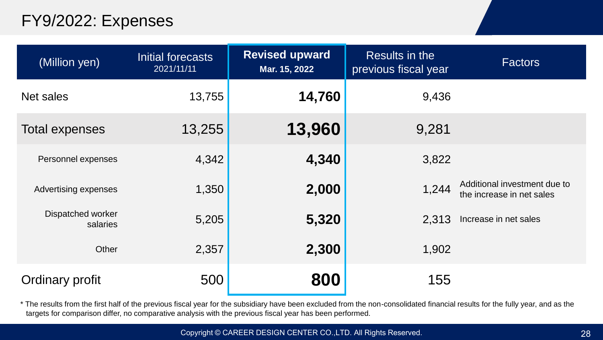#### FY9/2022: Expenses

| (Million yen)                 | Initial forecasts<br>2021/11/11 | <b>Revised upward</b><br>Mar. 15, 2022 | Results in the<br>previous fiscal year | <b>Factors</b>                                            |
|-------------------------------|---------------------------------|----------------------------------------|----------------------------------------|-----------------------------------------------------------|
| Net sales                     | 13,755                          | 14,760                                 | 9,436                                  |                                                           |
| <b>Total expenses</b>         | 13,255                          | 13,960                                 | 9,281                                  |                                                           |
| Personnel expenses            | 4,342                           | 4,340                                  | 3,822                                  |                                                           |
| <b>Advertising expenses</b>   | 1,350                           | 2,000                                  | 1,244                                  | Additional investment due to<br>the increase in net sales |
| Dispatched worker<br>salaries | 5,205                           | 5,320                                  | 2,313                                  | Increase in net sales                                     |
| Other                         | 2,357                           | 2,300                                  | 1,902                                  |                                                           |
| <b>Ordinary profit</b>        | 500                             | 800                                    | 155                                    |                                                           |

\* The results from the first half of the previous fiscal year for the subsidiary have been excluded from the non-consolidated financial results for the fully year, and as the targets for comparison differ, no comparative analysis with the previous fiscal year has been performed.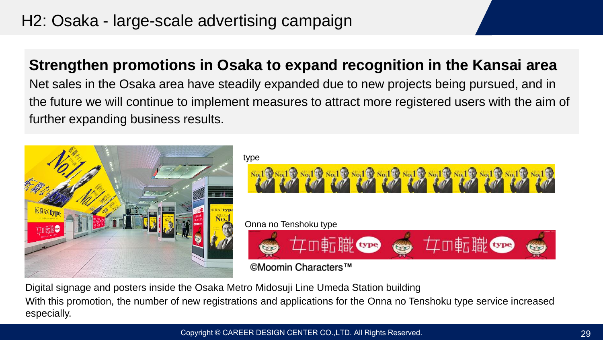#### H2: Osaka - large-scale advertising campaign

#### **Strengthen promotions in Osaka to expand recognition in the Kansai area**

Net sales in the Osaka area have steadily expanded due to new projects being pursued, and in the future we will continue to implement measures to attract more registered users with the aim of further expanding business results.



Digital signage and posters inside the Osaka Metro Midosuji Line Umeda Station building

With this promotion, the number of new registrations and applications for the Onna no Tenshoku type service increased especially.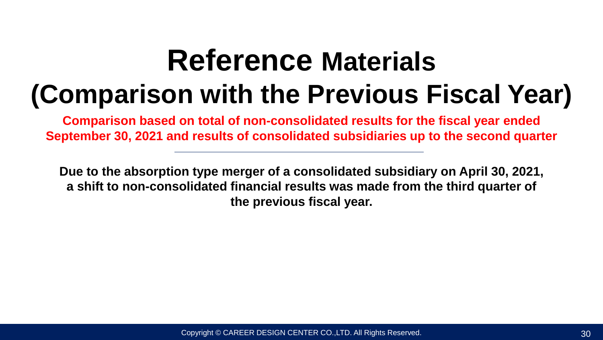## **Reference Materials (Comparison with the Previous Fiscal Year)**

**Comparison based on total of non-consolidated results for the fiscal year ended September 30, 2021 and results of consolidated subsidiaries up to the second quarter**

**Due to the absorption type merger of a consolidated subsidiary on April 30, 2021, a shift to non-consolidated financial results was made from the third quarter of the previous fiscal year.**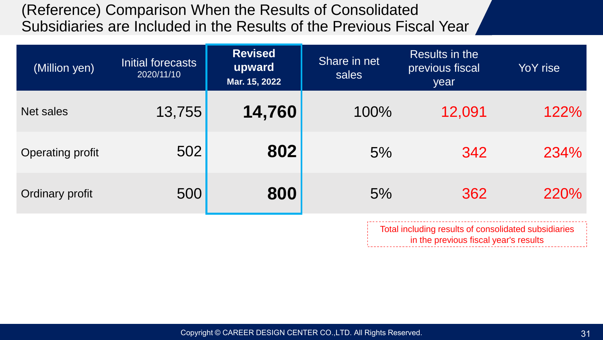#### (Reference) Comparison When the Results of Consolidated Subsidiaries are Included in the Results of the Previous Fiscal Year

| (Million yen)           | Initial forecasts<br>2020/11/10 | <b>Revised</b><br>upward<br>Mar. 15, 2022 | Share in net<br>sales | Results in the<br>previous fiscal<br>year | YoY rise |
|-------------------------|---------------------------------|-------------------------------------------|-----------------------|-------------------------------------------|----------|
| Net sales               | 13,755                          | 14,760                                    | 100%                  | 12,091                                    | 122%     |
| <b>Operating profit</b> | 502                             | 802                                       | 5%                    | 342                                       | 234%     |
| Ordinary profit         | 500                             | 800                                       | 5%                    | 362                                       | 220%     |
|                         |                                 |                                           |                       |                                           |          |

Total including results of consolidated subsidiaries in the previous fiscal year's results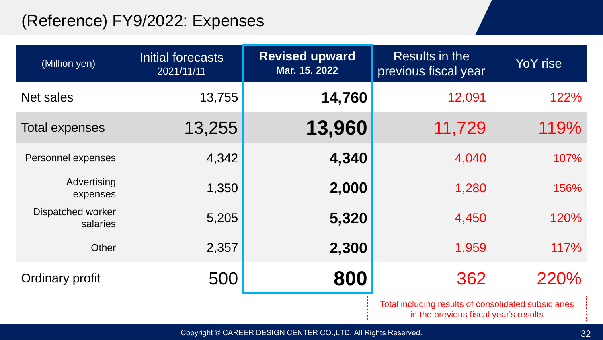#### (Reference) FY9/2022: Expenses

| (Million yen)                 | Initial forecasts<br>2021/11/11 | <b>Revised upward</b><br>Mar. 15, 2022 | Results in the<br>previous fiscal year                                                        | YoY rise |
|-------------------------------|---------------------------------|----------------------------------------|-----------------------------------------------------------------------------------------------|----------|
| Net sales                     | 13,755                          | 14,760                                 | 12,091                                                                                        | 122%     |
| <b>Total expenses</b>         | 13,255                          | 13,960                                 | 11,729                                                                                        | 119%     |
| Personnel expenses            | 4,342                           | 4,340                                  | 4,040                                                                                         | 107%     |
| Advertising<br>expenses       | 1,350                           | 2,000                                  | 1,280                                                                                         | 156%     |
| Dispatched worker<br>salaries | 5,205                           | 5,320                                  | 4,450                                                                                         | 120%     |
| Other                         | 2,357                           | 2,300                                  | 1,959                                                                                         | 117%     |
| <b>Ordinary profit</b>        | 500                             | 800                                    | 362                                                                                           | 220%     |
|                               |                                 |                                        | Total including results of consolidated subsidiaries<br>in the previous fiscal year's results |          |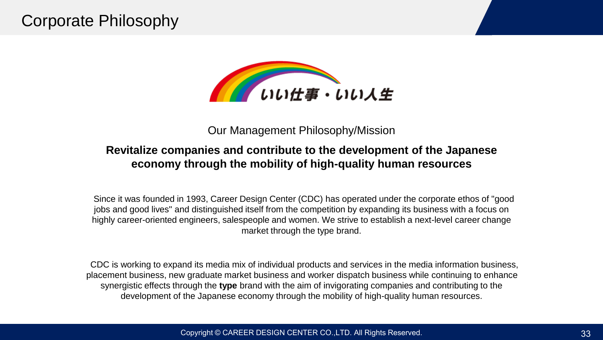#### Corporate Philosophy



#### Our Management Philosophy/Mission

#### **Revitalize companies and contribute to the development of the Japanese economy through the mobility of high-quality human resources**

Since it was founded in 1993, Career Design Center (CDC) has operated under the corporate ethos of "good jobs and good lives" and distinguished itself from the competition by expanding its business with a focus on highly career-oriented engineers, salespeople and women. We strive to establish a next-level career change market through the type brand.

CDC is working to expand its media mix of individual products and services in the media information business, placement business, new graduate market business and worker dispatch business while continuing to enhance synergistic effects through the **type** brand with the aim of invigorating companies and contributing to the development of the Japanese economy through the mobility of high-quality human resources.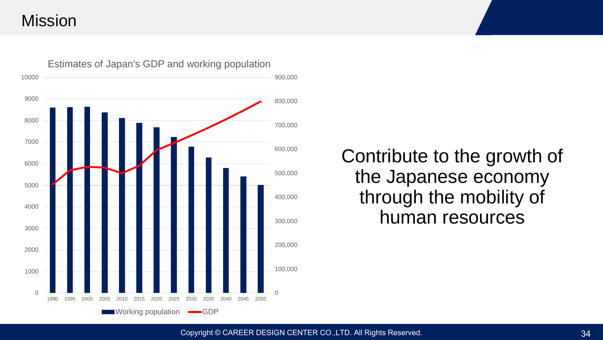#### Mission



## Contribute to the growth of the Japanese economy through the mobility of human resources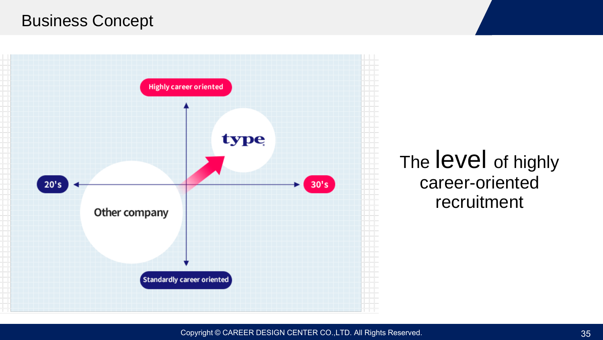#### Business Concept



## The **level** of highly career-oriented recruitment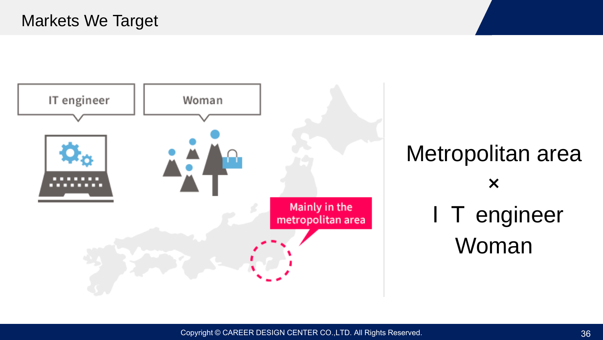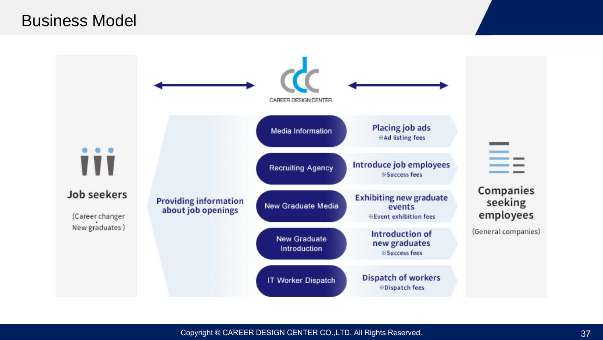#### Business Model

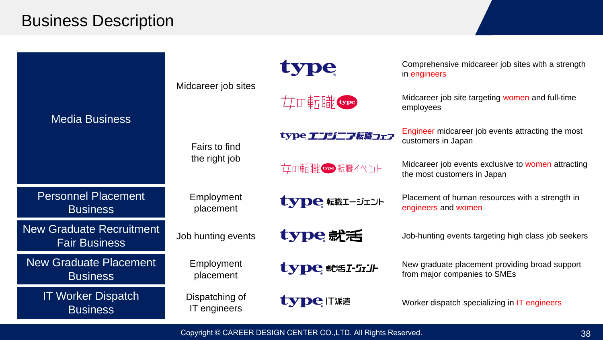#### Business Description

|                                                                                       |                                | type               | Comprehensive midcareer job sites with a strength<br>in engineers                 |
|---------------------------------------------------------------------------------------|--------------------------------|--------------------|-----------------------------------------------------------------------------------|
| <b>Media Business</b>                                                                 | Midcareer job sites            | <b>女</b> 田転職(type) | Midcareer job site targeting women and full-time<br>employees                     |
|                                                                                       | Fairs to find<br>the right job | type エンジニア転職コェア    | Engineer midcareer job events attracting the most<br>customers in Japan           |
|                                                                                       |                                | 女の転職(spe)転職イベント    | Midcareer job events exclusive to women attracting<br>the most customers in Japan |
| <b>Personnel Placement</b><br><b>Business</b>                                         | Employment<br>placement        | type 転職エージェント      | Placement of human resources with a strength in<br>engineers and women            |
| <b>New Graduate Recruitment</b><br><b>Fair Business</b>                               | Job hunting events             | type 就活            | Job-hunting events targeting high class job seekers                               |
| <b>New Graduate Placement</b><br><b>Business</b>                                      | Employment<br>placement        | type 就活I-"JI'll-   | New graduate placement providing broad support<br>from major companies to SMEs    |
| <b>IT Worker Dispatch</b><br>Dispatching of<br><b>IT</b> engineers<br><b>Business</b> |                                | type IT派遣          | Worker dispatch specializing in IT engineers                                      |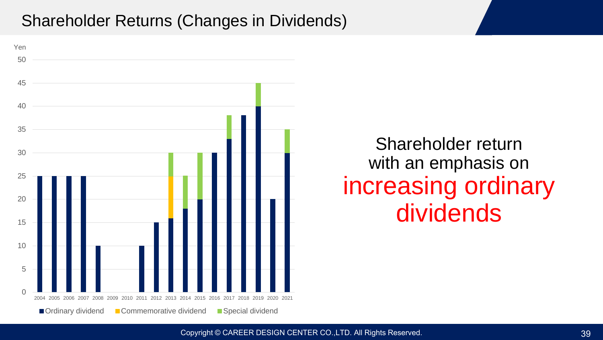#### Shareholder Returns (Changes in Dividends)



## Shareholder return with an emphasis on increasing ordinary dividends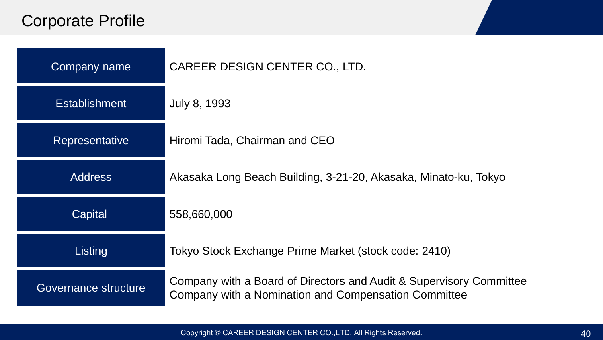#### Corporate Profile

| Company name          | CAREER DESIGN CENTER CO., LTD.                                                                                              |
|-----------------------|-----------------------------------------------------------------------------------------------------------------------------|
| <b>Establishment</b>  | July 8, 1993                                                                                                                |
| <b>Representative</b> | Hiromi Tada, Chairman and CEO                                                                                               |
| <b>Address</b>        | Akasaka Long Beach Building, 3-21-20, Akasaka, Minato-ku, Tokyo                                                             |
| Capital               | 558,660,000                                                                                                                 |
| Listing               | Tokyo Stock Exchange Prime Market (stock code: 2410)                                                                        |
| Governance structure  | Company with a Board of Directors and Audit & Supervisory Committee<br>Company with a Nomination and Compensation Committee |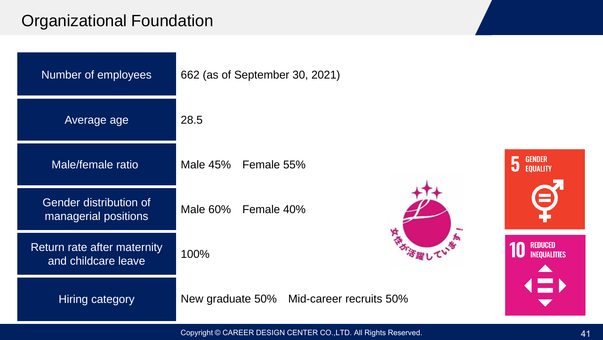### Organizational Foundation

| Number of employees                                | 662 (as of September 30, 2021)                               |
|----------------------------------------------------|--------------------------------------------------------------|
| Average age                                        | 28.5                                                         |
| Male/female ratio                                  | <b>GENDER</b><br>5<br>Male 45% Female 55%<br><b>EQUALITY</b> |
| Gender distribution of<br>managerial positions     | e<br>Tan<br>Male 60% Female 40%                              |
| Return rate after maternity<br>and childcare leave | H THIS<br><b>REDUCED</b><br><b>INEQUALITIES</b><br>100%      |
| <b>Hiring category</b>                             | New graduate 50% Mid-career recruits 50%                     |